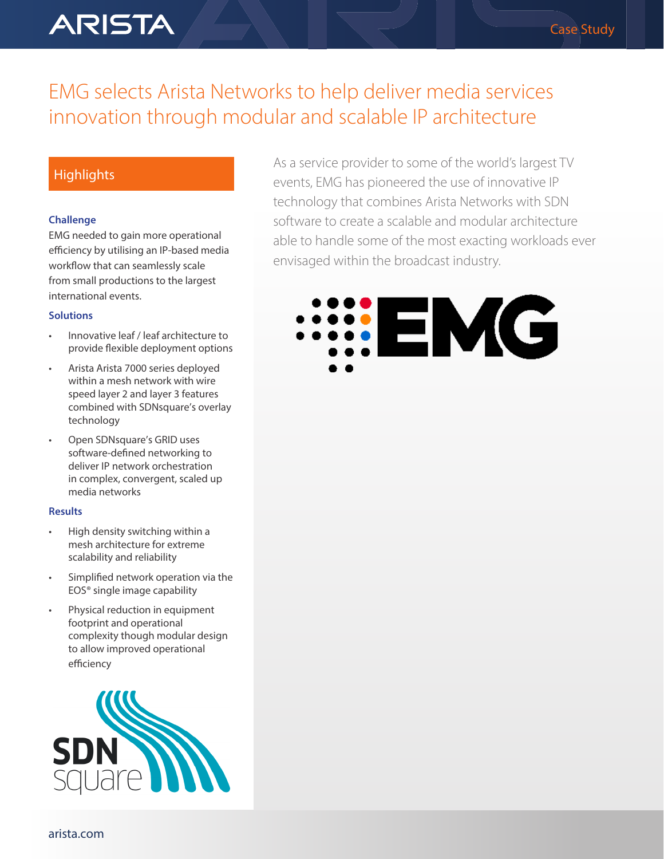# **ARISTA**

## EMG selects Arista Networks to help deliver media services innovation through modular and scalable IP architecture

### **Highlights**

#### **Challenge**

EMG needed to gain more operational efficiency by utilising an IP-based media workflow that can seamlessly scale from small productions to the largest international events.

#### **Solutions**

- Innovative leaf / leaf architecture to provide flexible deployment options
- Arista Arista 7000 series deployed within a mesh network with wire speed layer 2 and layer 3 features combined with SDNsquare's overlay technology
- Open SDNsquare's GRID uses software-defined networking to deliver IP network orchestration in complex, convergent, scaled up media networks

#### **Results**

- High density switching within a mesh architecture for extreme scalability and reliability
- Simplified network operation via the EOS® single image capability
- Physical reduction in equipment footprint and operational complexity though modular design to allow improved operational efficiency



As a service provider to some of the world's largest TV events, EMG has pioneered the use of innovative IP technology that combines Arista Networks with SDN software to create a scalable and modular architecture able to handle some of the most exacting workloads ever envisaged within the broadcast industry.

Case Study

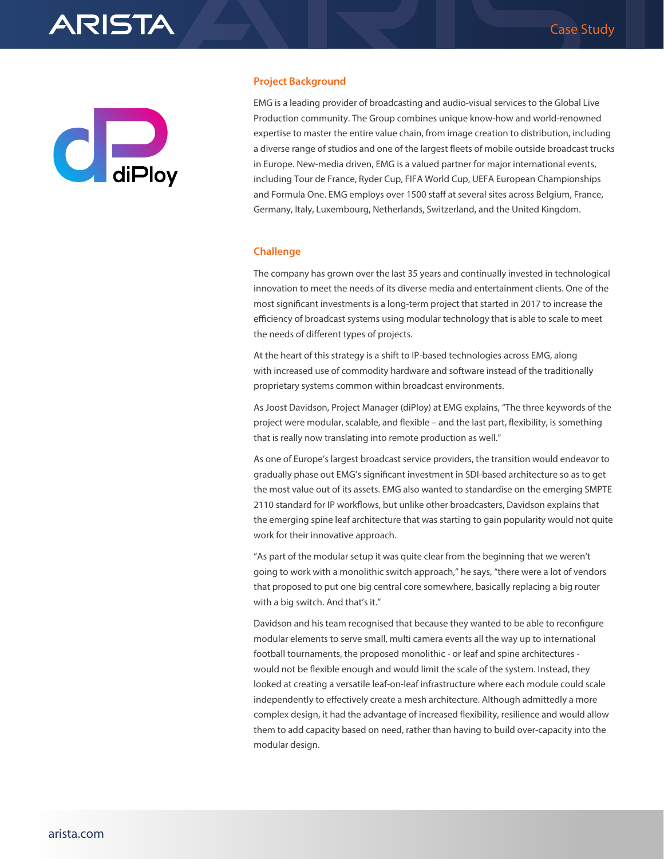



#### **Project Background**

EMG is a leading provider of broadcasting and audio-visual services to the Global Live Production community. The Group combines unique know-how and world-renowned expertise to master the entire value chain, from image creation to distribution, including a diverse range of studios and one of the largest fleets of mobile outside broadcast trucks in Europe. New-media driven, EMG is a valued partner for major international events, including Tour de France, Ryder Cup, FIFA World Cup, UEFA European Championships and Formula One. EMG employs over 1500 staff at several sites across Belgium, France, Germany, Italy, Luxembourg, Netherlands, Switzerland, and the United Kingdom.

#### **Challenge**

The company has grown over the last 35 years and continually invested in technological innovation to meet the needs of its diverse media and entertainment clients. One of the most significant investments is a long-term project that started in 2017 to increase the efficiency of broadcast systems using modular technology that is able to scale to meet the needs of different types of projects.

At the heart of this strategy is a shift to IP-based technologies across EMG, along with increased use of commodity hardware and software instead of the traditionally proprietary systems common within broadcast environments.

As Joost Davidson, Project Manager (diPloy) at EMG explains, "The three keywords of the project were modular, scalable, and flexible – and the last part, flexibility, is something that is really now translating into remote production as well."

As one of Europe's largest broadcast service providers, the transition would endeavor to gradually phase out EMG's significant investment in SDI-based architecture so as to get the most value out of its assets. EMG also wanted to standardise on the emerging SMPTE 2110 standard for IP workflows, but unlike other broadcasters, Davidson explains that the emerging spine leaf architecture that was starting to gain popularity would not quite work for their innovative approach.

"As part of the modular setup it was quite clear from the beginning that we weren't going to work with a monolithic switch approach," he says, "there were a lot of vendors that proposed to put one big central core somewhere, basically replacing a big router with a big switch. And that's it."

Davidson and his team recognised that because they wanted to be able to reconfigure modular elements to serve small, multi camera events all the way up to international football tournaments, the proposed monolithic - or leaf and spine architectures would not be flexible enough and would limit the scale of the system. Instead, they looked at creating a versatile leaf-on-leaf infrastructure where each module could scale independently to effectively create a mesh architecture. Although admittedly a more complex design, it had the advantage of increased flexibility, resilience and would allow them to add capacity based on need, rather than having to build over-capacity into the modular design.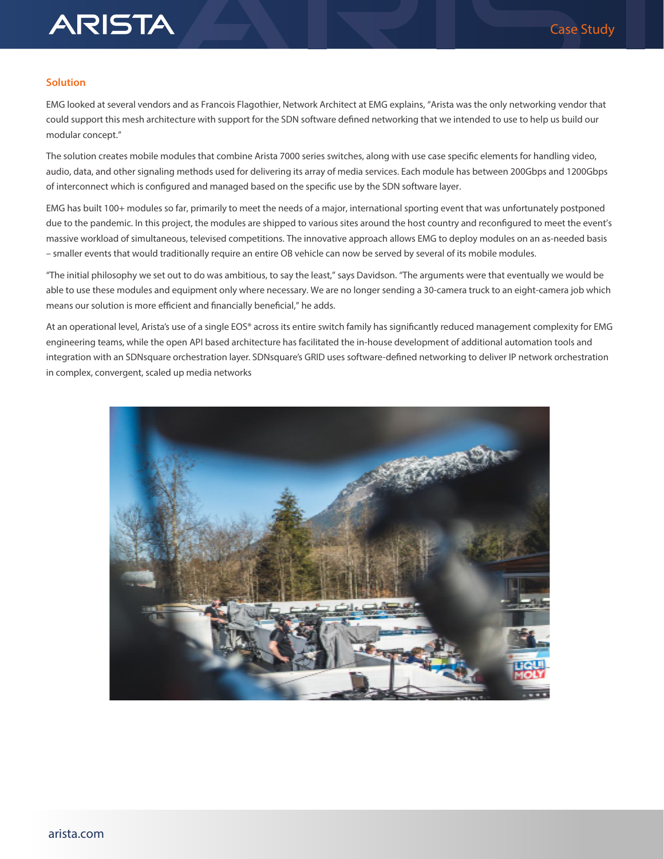#### **Solution**

**ARISTA** 

EMG looked at several vendors and as Francois Flagothier, Network Architect at EMG explains, "Arista was the only networking vendor that could support this mesh architecture with support for the SDN software defined networking that we intended to use to help us build our modular concept."

The solution creates mobile modules that combine Arista 7000 series switches, along with use case specific elements for handling video, audio, data, and other signaling methods used for delivering its array of media services. Each module has between 200Gbps and 1200Gbps of interconnect which is configured and managed based on the specific use by the SDN software layer.

EMG has built 100+ modules so far, primarily to meet the needs of a major, international sporting event that was unfortunately postponed due to the pandemic. In this project, the modules are shipped to various sites around the host country and reconfigured to meet the event's massive workload of simultaneous, televised competitions. The innovative approach allows EMG to deploy modules on an as-needed basis – smaller events that would traditionally require an entire OB vehicle can now be served by several of its mobile modules.

"The initial philosophy we set out to do was ambitious, to say the least," says Davidson. "The arguments were that eventually we would be able to use these modules and equipment only where necessary. We are no longer sending a 30-camera truck to an eight-camera job which means our solution is more efficient and financially beneficial," he adds.

At an operational level, Arista's use of a single EOS® across its entire switch family has significantly reduced management complexity for EMG engineering teams, while the open API based architecture has facilitated the in-house development of additional automation tools and integration with an SDNsquare orchestration layer. SDNsquare's GRID uses software-defined networking to deliver IP network orchestration in complex, convergent, scaled up media networks